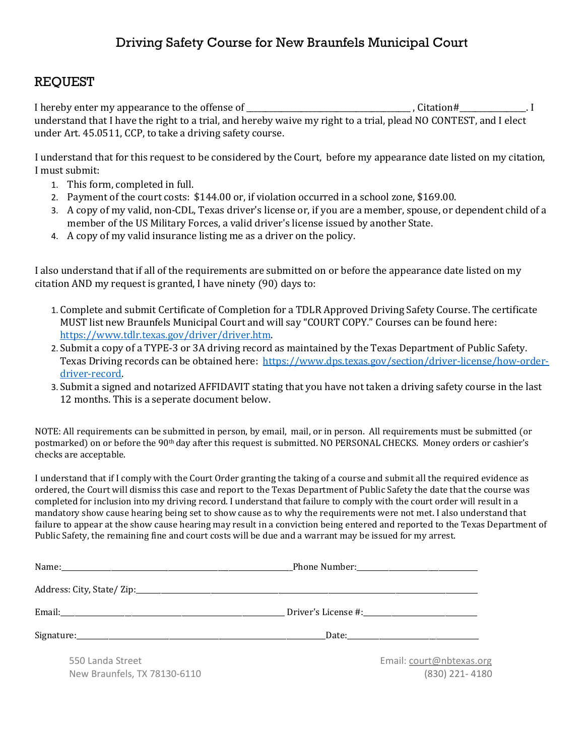## REQUEST

I hereby enter my appearance to the offense of \_\_\_\_\_\_\_\_\_\_\_\_\_\_\_\_\_\_\_\_\_\_\_\_\_\_\_\_\_\_\_\_\_\_, Citation#\_\_\_\_\_\_\_\_\_\_\_\_\_\_\_. I understand that I have the right to a trial, and hereby waive my right to a trial, plead NO CONTEST, and I elect under Art. 45.0511, CCP, to take a driving safety course.

I understand that for this request to be considered by the Court, before my appearance date listed on my citation, I must submit:

- 1. This form, completed in full.
- 2. Payment of the court costs: \$144.00 or, if violation occurred in a school zone, \$169.00.
- 3. A copy of my valid, non-CDL, Texas driver's license or, if you are a member, spouse, or dependent child of a member of the US Military Forces, a valid driver's license issued by another State.
- 4. A copy of my valid insurance listing me as a driver on the policy.

I also understand that if all of the requirements are submitted on or before the appearance date listed on my citation AND my request is granted, I have ninety (90) days to:

- 1. Complete and submit Certificate of Completion for a TDLR Approved Driving Safety Course. The certificate MUST list new Braunfels Municipal Court and will say "COURT COPY." Courses can be found here: [https://www.tdlr.texas.gov/driver/driver.htm.](https://www.tdlr.texas.gov/driver/driver.htm)
- 2. Submit a copy of a TYPE-3 or 3A driving record as maintained by the Texas Department of Public Safety. Texas Driving records can be obtained here: [https://www.dps.texas.gov/section/driver-license/how-order](https://www.dps.texas.gov/section/driver-license/how-order-driver-record)[driver-record.](https://www.dps.texas.gov/section/driver-license/how-order-driver-record)
- 3. Submit a signed and notarized AFFIDAVIT stating that you have not taken a driving safety course in the last 12 months. This is a seperate document below.

NOTE: All requirements can be submitted in person, by email, mail, or in person. All requirements must be submitted (or postmarked) on or before the 90th day after this request is submitted. NO PERSONAL CHECKS. Money orders or cashier's checks are acceptable.

I understand that if I comply with the Court Order granting the taking of a course and submit all the required evidence as ordered, the Court will dismiss this case and report to the Texas Department of Public Safety the date that the course was completed for inclusion into my driving record. I understand that failure to comply with the court order will result in a mandatory show cause hearing being set to show cause as to why the requirements were not met. I also understand that failure to appear at the show cause hearing may result in a conviction being entered and reported to the Texas Department of Public Safety, the remaining fine and court costs will be due and a warrant may be issued for my arrest.

| 550 Landa Street             | Email: court@nbtexas.org |
|------------------------------|--------------------------|
| New Braunfels, TX 78130-6110 | (830) 221-4180           |